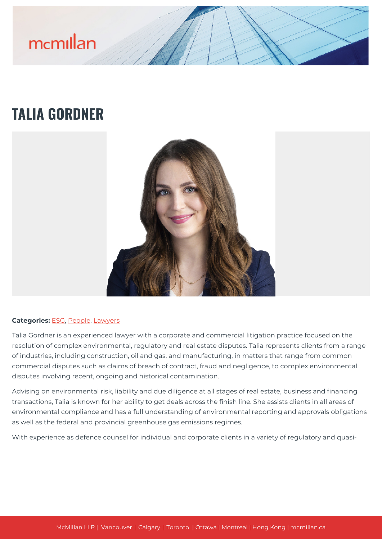# mcmillan

# **TALIA GORDNER**



#### **Categories:** [ESG](https://mcmillan.ca/people/esg/), [People,](https://mcmillan.ca/people/) [Lawyers](https://mcmillan.ca/people/lawyers/)

Talia Gordner is an experienced lawyer with a corporate and commercial litigation practice focused on the resolution of complex environmental, regulatory and real estate disputes. Talia represents clients from a range of industries, including construction, oil and gas, and manufacturing, in matters that range from common commercial disputes such as claims of breach of contract, fraud and negligence, to complex environmental disputes involving recent, ongoing and historical contamination.

Advising on environmental risk, liability and due diligence at all stages of real estate, business and financing transactions, Talia is known for her ability to get deals across the finish line. She assists clients in all areas of environmental compliance and has a full understanding of environmental reporting and approvals obligations as well as the federal and provincial greenhouse gas emissions regimes.

With experience as defence counsel for individual and corporate clients in a variety of regulatory and quasi-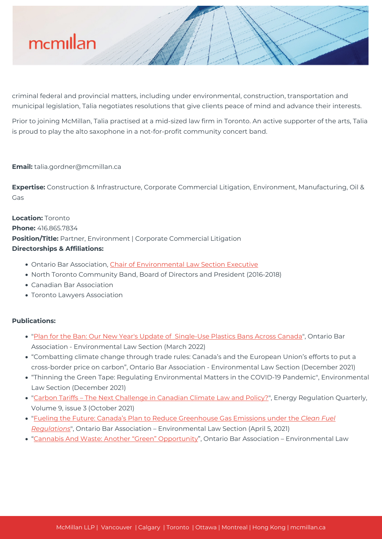

criminal federal and provincial matters, including under environmental, construction, transportation and municipal legislation, Talia negotiates resolutions that give clients peace of mind and advance their interests.

Prior to joining McMillan, Talia practised at a mid-sized law firm in Toronto. An active supporter of the arts, Talia is proud to play the alto saxophone in a not-for-profit community concert band.

#### **Email:** talia.gordner@mcmillan.ca

**Expertise:** Construction & Infrastructure, Corporate Commercial Litigation, Environment, Manufacturing, Oil & Gas

**Location:** Toronto **Phone:** 416.865.7834 **Position/Title:** Partner, Environment | Corporate Commercial Litigation **Directorships & Affiliations:**

- Ontario Bar Association, [Chair of Environmental Law Section Executive](https://www.oba.org/Sections/Environmental-Law/Executive?utm_source=LYR&utm_medium=EM&utm_campaign=Sections&_zs=bfFtN1&_zl=C7P52)
- North Toronto Community Band, Board of Directors and President (2016-2018)
- Canadian Bar Association
- Toronto Lawyers Association

#### **Publications:**

- ["Plan for the Ban: Our New Year's Update of Single-Use Plastics Bans Across Canada](https://www.oba.org/Sections/Environmental-Law/Articles/Articles-2022/March-2022/Plan-for-the-Ban-Our-New-Years-Update-of-Single)", Ontario Bar Association - Environmental Law Section (March 2022)
- "Combatting climate change through trade rules: Canada's and the European Union's efforts to put a cross-border price on carbon", Ontario Bar Association - Environmental Law Section (December 2021)
- "Thinning the Green Tape: Regulating Environmental Matters in the COVID-19 Pandemic", Environmental Law Section (December 2021)
- ["Carbon Tariffs The Next Challenge in Canadian Climate Law and Policy?](https://energyregulationquarterly.ca/articles/carbon-tariffs-the-next-challenge-in-canadian-climate-law-and-policy#sthash.JsPhCLy6.J2EtwQLN.dpbs)", Energy Regulation Quarterly, Volume 9, issue 3 (October 2021)
- ["Fueling the Future: Canada's Plan to Reduce Greenhouse Gas Emissions under the](https://www.oba.org/Sections/Environmental-Law/Articles/Articles-2021/April-2021/Fueling-the-Future-Canada%E2%80%99s-Plan-to-Reduce-Greenh) *[Clean Fuel](https://www.oba.org/Sections/Environmental-Law/Articles/Articles-2021/April-2021/Fueling-the-Future-Canada%E2%80%99s-Plan-to-Reduce-Greenh) [Regulations](https://www.oba.org/Sections/Environmental-Law/Articles/Articles-2021/April-2021/Fueling-the-Future-Canada%E2%80%99s-Plan-to-Reduce-Greenh)*", Ontario Bar Association – Environmental Law Section (April 5, 2021)
- "[Cannabis And Waste: Another "Green" Opportunity"](https://www.oba.org/Sections/Environmental-Law/Articles/Articles-2020/December-2020/Cannabis-and-Waste-Another-Green-Opportunity), Ontario Bar Association Environmental Law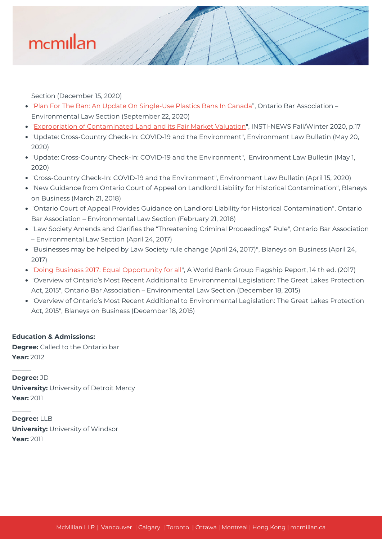

Section (December 15, 2020)

- ["Plan For The Ban: An Update On Single-Use Plastics Bans In Canada](https://www.oba.org/Sections/Environmental-Law/Articles/Articles-2020/September-2020/Plan-for-the-Ban-An-Update-on-Single-Use-Plastics)", Ontario Bar Association Environmental Law Section (September 22, 2020)
- ["Expropriation of Contaminated Land and its Fair Market Valuation](https://issuu.com/theima/docs/ima_insti-news_fall_winter_2020_v9)", INSTI-NEWS Fall/Winter 2020, p.17
- "Update: Cross-Country Check-In: COVID-19 and the Environment", Environment Law Bulletin (May 20, 2020)
- "Update: Cross-Country Check-In: COVID-19 and the Environment", Environment Law Bulletin (May 1, 2020)
- "Cross-Country Check-In: COVID-19 and the Environment", Environment Law Bulletin (April 15, 2020)
- "New Guidance from Ontario Court of Appeal on Landlord Liability for Historical Contamination", Blaneys on Business (March 21, 2018)
- "Ontario Court of Appeal Provides Guidance on Landlord Liability for Historical Contamination", Ontario Bar Association – Environmental Law Section (February 21, 2018)
- "Law Society Amends and Clarifies the "Threatening Criminal Proceedings" Rule", Ontario Bar Association – Environmental Law Section (April 24, 2017)
- "Businesses may be helped by Law Society rule change (April 24, 2017)", Blaneys on Business (April 24, 2017)
- ["Doing Business 2017: Equal Opportunity for all](https://mcmillan.ca/wp-content/uploads/2020/07/DB17-Report.pdf)", A World Bank Group Flagship Report, 14 th ed. (2017)
- "Overview of Ontario's Most Recent Additional to Environmental Legislation: The Great Lakes Protection Act, 2015", Ontario Bar Association – Environmental Law Section (December 18, 2015)
- "Overview of Ontario's Most Recent Additional to Environmental Legislation: The Great Lakes Protection Act, 2015", Blaneys on Business (December 18, 2015)

#### **Education & Admissions:**

**\_\_\_\_\_\_**

**\_\_\_\_\_\_**

**Degree:** Called to the Ontario bar **Year:** 2012

**Degree:** JD **University:** University of Detroit Mercy **Year:** 2011

**Degree:** LLB **University:** University of Windsor **Year:** 2011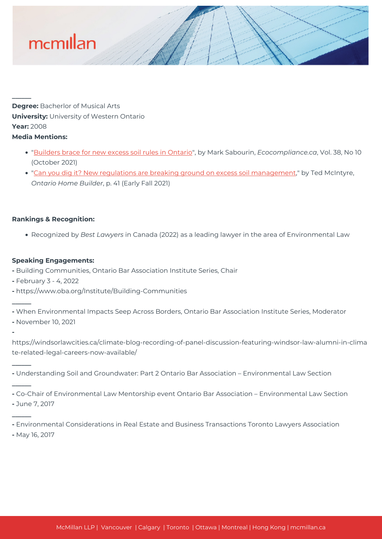

**Degree:** Bacherlor of Musical Arts **University:** University of Western Ontario **Year:** 2008

## **Media Mentions:**

**\_\_\_\_\_\_**

- ["Builders brace for new excess soil rules in Ontario"](https://mcmillan.ca/wp-content/uploads/2020/07/Builders-brace-for-new-excess-soil-rules-in-Ontario.pdf), by Mark Sabourin, *Ecocompliance.ca*, Vol. 38, No 10 (October 2021)
- ["Can you dig it? New regulations are breaking ground on excess soil management](https://issuu.com/ohbmagazine/docs/ohb_fall2021optimized?fr=sYWZmYTQyMTM3NDE)," by Ted McIntyre, *Ontario Home Builder*, p. 41 (Early Fall 2021)

### **Rankings & Recognition:**

Recognized by *Best Lawyers* in Canada (2022) as a leading lawyer in the area of Environmental Law

### **Speaking Engagements:**

- **-** Building Communities, Ontario Bar Association Institute Series, Chair
- **-** February 3 4, 2022
- **-** https://www.oba.org/Institute/Building-Communities

**-** When Environmental Impacts Seep Across Borders, Ontario Bar Association Institute Series, Moderator

**-** November 10, 2021

**\_\_\_\_\_\_**

**\_\_\_\_\_\_**

**\_\_\_\_\_\_**

**\_\_\_\_\_\_**

**-**

https://windsorlawcities.ca/climate-blog-recording-of-panel-discussion-featuring-windsor-law-alumni-in-clima te-related-legal-careers-now-available/

**-** Understanding Soil and Groundwater: Part 2 Ontario Bar Association – Environmental Law Section

**-** Co-Chair of Environmental Law Mentorship event Ontario Bar Association – Environmental Law Section **-** June 7, 2017

**-** Environmental Considerations in Real Estate and Business Transactions Toronto Lawyers Association

**-** May 16, 2017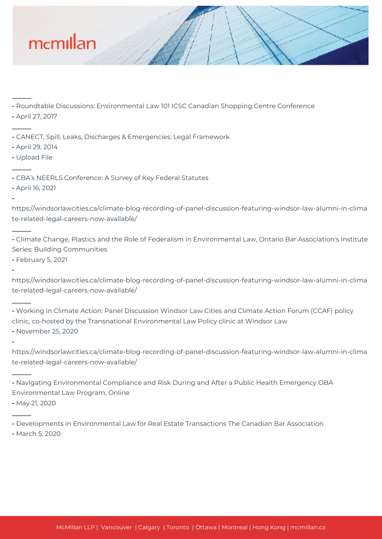

**-** Roundtable Discussions: Environmental Law 101 ICSC Canadian Shopping Centre Conference

**-** April 27, 2017

**\_\_\_\_\_\_**

**\_\_\_\_\_\_**

**\_\_\_\_\_\_**

**\_\_\_\_\_\_**

**\_\_\_\_\_\_**

**\_\_\_\_\_\_**

**\_\_\_\_\_\_**

**-**

**-**

**-**

- **-** CANECT, Spill, Leaks, Discharges & Emergencies: Legal Framework
- **-** April 29, 2014
- **-** Upload File
- **-** CBA's NEERLS Conference: A Survey of Key Federal Statutes
- **-** April 16, 2021

https://windsorlawcities.ca/climate-blog-recording-of-panel-discussion-featuring-windsor-law-alumni-in-clima te-related-legal-careers-now-available/

**-** Climate Change, Plastics and the Role of Federalism in Environmental Law, Ontario Bar Association's Institute Series: Building Communities

**-** February 5, 2021

https://windsorlawcities.ca/climate-blog-recording-of-panel-discussion-featuring-windsor-law-alumni-in-clima te-related-legal-careers-now-available/

**-** Working in Climate Action: Panel Discussion Windsor Law Cities and Climate Action Forum (CCAF) policy clinic, co-hosted by the Transnational Environmental Law Policy clinic at Windsor Law **-** November 25, 2020

https://windsorlawcities.ca/climate-blog-recording-of-panel-discussion-featuring-windsor-law-alumni-in-clima te-related-legal-careers-now-available/

**-** Navigating Environmental Compliance and Risk During and After a Public Health Emergency OBA Environmental Law Program, Online

**-** May 21, 2020

**-** Developments in Environmental Law for Real Estate Transactions The Canadian Bar Association

**-** March 5, 2020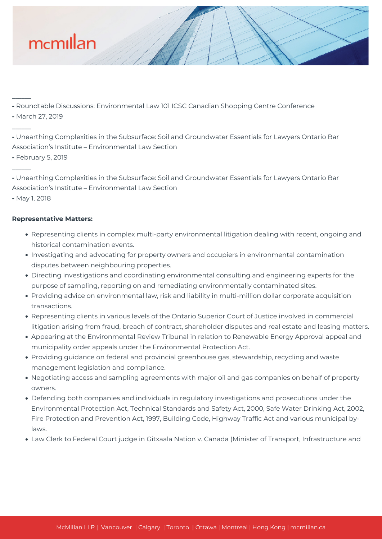

**-** Roundtable Discussions: Environmental Law 101 ICSC Canadian Shopping Centre Conference

**-** March 27, 2019

**\_\_\_\_\_\_**

**\_\_\_\_\_\_**

**\_\_\_\_\_\_**

**-** Unearthing Complexities in the Subsurface: Soil and Groundwater Essentials for Lawyers Ontario Bar Association's Institute – Environmental Law Section

**-** February 5, 2019

**-** Unearthing Complexities in the Subsurface: Soil and Groundwater Essentials for Lawyers Ontario Bar Association's Institute – Environmental Law Section

**-** May 1, 2018

# **Representative Matters:**

- Representing clients in complex multi-party environmental litigation dealing with recent, ongoing and historical contamination events.
- Investigating and advocating for property owners and occupiers in environmental contamination disputes between neighbouring properties.
- Directing investigations and coordinating environmental consulting and engineering experts for the purpose of sampling, reporting on and remediating environmentally contaminated sites.
- Providing advice on environmental law, risk and liability in multi-million dollar corporate acquisition transactions.
- Representing clients in various levels of the Ontario Superior Court of Justice involved in commercial litigation arising from fraud, breach of contract, shareholder disputes and real estate and leasing matters.
- Appearing at the Environmental Review Tribunal in relation to Renewable Energy Approval appeal and municipality order appeals under the Environmental Protection Act.
- Providing guidance on federal and provincial greenhouse gas, stewardship, recycling and waste management legislation and compliance.
- Negotiating access and sampling agreements with major oil and gas companies on behalf of property owners.
- Defending both companies and individuals in regulatory investigations and prosecutions under the Environmental Protection Act, Technical Standards and Safety Act, 2000, Safe Water Drinking Act, 2002, Fire Protection and Prevention Act, 1997, Building Code, Highway Traffic Act and various municipal bylaws.
- Law Clerk to Federal Court judge in Gitxaala Nation v. Canada (Minister of Transport, Infrastructure and